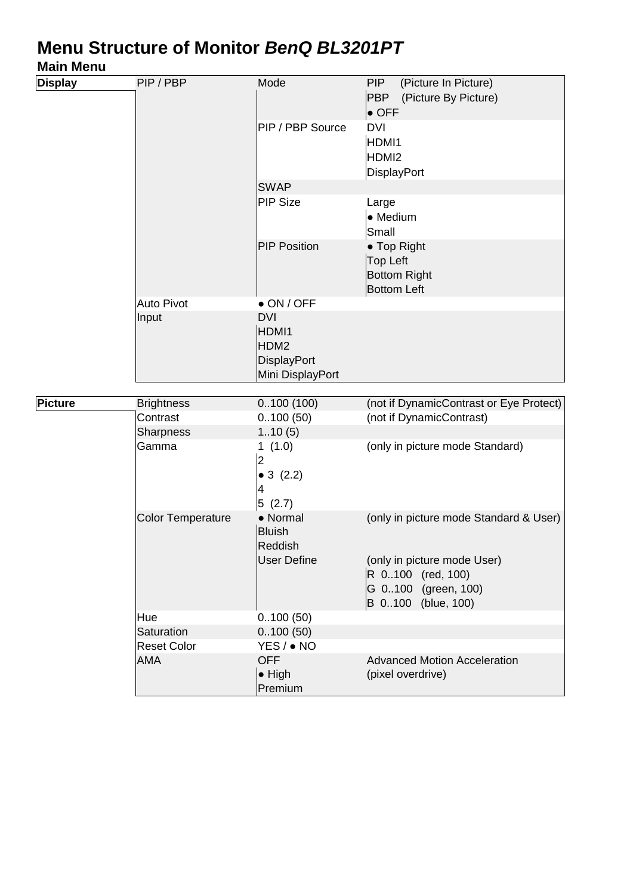### Menu Structure of Monitor BenQ BL3201PT

#### Main Menu

| <b>Display</b> | PIP / PBP                | Mode                                                                  | (Picture In Picture)<br><b>PIP</b><br><b>PBP</b><br>(Picture By Picture)<br>$\bullet$ OFF                                               |
|----------------|--------------------------|-----------------------------------------------------------------------|-----------------------------------------------------------------------------------------------------------------------------------------|
|                |                          | PIP / PBP Source                                                      | <b>DVI</b><br>HDMI1<br>HDMI <sub>2</sub><br>DisplayPort                                                                                 |
|                |                          | <b>SWAP</b>                                                           |                                                                                                                                         |
|                |                          | PIP Size                                                              | Large<br>• Medium<br>Small                                                                                                              |
|                |                          | <b>PIP Position</b>                                                   | • Top Right<br><b>Top Left</b><br><b>Bottom Right</b><br><b>Bottom Left</b>                                                             |
|                | Auto Pivot               | $\bullet$ ON / OFF                                                    |                                                                                                                                         |
|                | Input                    | <b>DVI</b><br>HDMI1<br>HDM2<br><b>DisplayPort</b><br>Mini DisplayPort |                                                                                                                                         |
|                |                          |                                                                       |                                                                                                                                         |
| Picture        | <b>Brightness</b>        | 0.100(100)                                                            | (not if DynamicContrast or Eye Protect)                                                                                                 |
|                | Contrast                 | 0.100(50)                                                             | (not if DynamicContrast)                                                                                                                |
|                | Sharpness                | 110(5)                                                                |                                                                                                                                         |
|                | Gamma                    | 1(1.0)<br>$\overline{c}$<br>• 3 $(2.2)$<br>4<br> 5(2.7)               | (only in picture mode Standard)                                                                                                         |
|                | <b>Color Temperature</b> | • Normal<br><b>Bluish</b><br>Reddish<br><b>User Define</b>            | (only in picture mode Standard & User)<br>(only in picture mode User)<br>R 0100 (red, 100)<br>G 0100 (green, 100)<br>B 0100 (blue, 100) |
|                | Hue                      | 0.100(50)                                                             |                                                                                                                                         |
|                | Saturation               | 0.100(50)                                                             |                                                                                                                                         |
|                | <b>Reset Color</b>       | YES / • NO                                                            |                                                                                                                                         |
|                | <b>AMA</b>               | <b>OFF</b><br>$\bullet$ High<br>Premium                               | <b>Advanced Motion Acceleration</b><br>(pixel overdrive)                                                                                |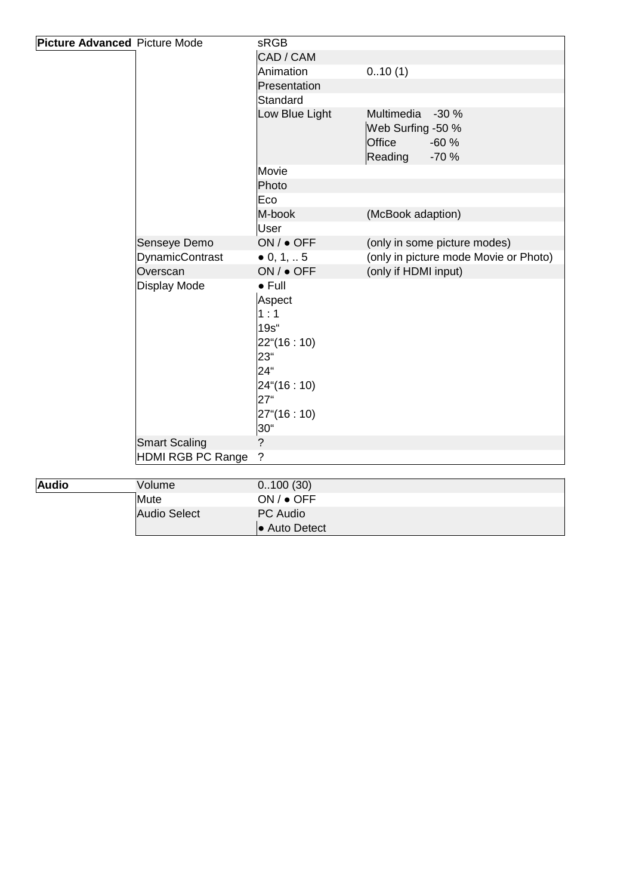| Picture Advanced Picture Mode |                          | <b>SRGB</b>         |                                       |
|-------------------------------|--------------------------|---------------------|---------------------------------------|
|                               |                          | CAD / CAM           |                                       |
|                               |                          | Animation           | 010(1)                                |
|                               |                          | Presentation        |                                       |
|                               |                          | Standard            |                                       |
|                               |                          | Low Blue Light      | Multimedia -30 %                      |
|                               |                          |                     | Web Surfing -50 %                     |
|                               |                          |                     | Office<br>$-60%$                      |
|                               |                          |                     | Reading<br>$-70%$                     |
|                               |                          | Movie               |                                       |
|                               |                          | Photo               |                                       |
|                               |                          | Eco                 |                                       |
|                               |                          | M-book              | (McBook adaption)                     |
|                               |                          | User                |                                       |
|                               | Senseye Demo             | ON / ● OFF          | (only in some picture modes)          |
|                               | DynamicContrast          | $\bullet$ 0, 1,  5  | (only in picture mode Movie or Photo) |
|                               | Overscan                 | ON / ● OFF          | (only if HDMI input)                  |
|                               | Display Mode             | $\bullet$ Full      |                                       |
|                               |                          | Aspect              |                                       |
|                               |                          | 1:1                 |                                       |
|                               |                          | $19s$ "             |                                       |
|                               |                          | $22^{\circ}(16:10)$ |                                       |
|                               |                          | 23"                 |                                       |
|                               |                          | 24 <sup>"</sup>     |                                       |
|                               |                          | $24*(16:10)$        |                                       |
|                               |                          | 27 <sup>"</sup>     |                                       |
|                               |                          | $27^{\circ}(16:10)$ |                                       |
|                               |                          | 30"                 |                                       |
|                               | <b>Smart Scaling</b>     | $\overline{?}$      |                                       |
|                               | <b>HDMI RGB PC Range</b> | $\tilde{?}$         |                                       |
|                               |                          |                     |                                       |
| <b>Audio</b>                  | Volume                   | 0.100(30)           |                                       |
|                               | Mute                     | ON / ● OFF          |                                       |
|                               | Audio Select             | PC Audio            |                                       |
|                               |                          | • Auto Detect       |                                       |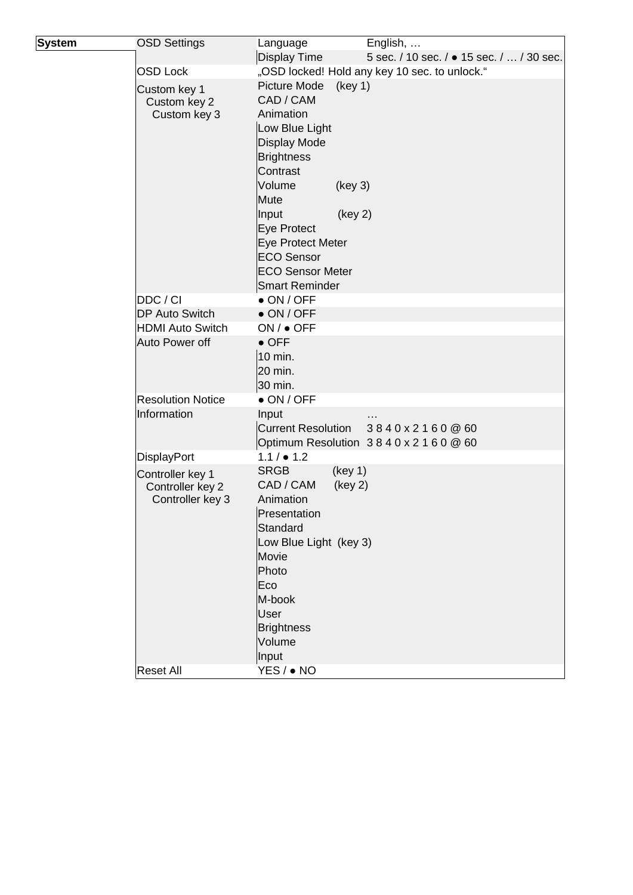| <b>System</b> | <b>OSD Settings</b>                  | Language                | English,                                      |
|---------------|--------------------------------------|-------------------------|-----------------------------------------------|
|               |                                      | Display Time            | 5 sec. / 10 sec. / • 15 sec. /  / 30 sec.     |
|               | <b>OSD Lock</b>                      |                         | "OSD locked! Hold any key 10 sec. to unlock." |
|               | Custom key 1                         | Picture Mode            | (key 1)                                       |
|               | Custom key 2                         | CAD / CAM               |                                               |
|               | Custom key 3                         | Animation               |                                               |
|               |                                      | Low Blue Light          |                                               |
|               |                                      | Display Mode            |                                               |
|               |                                      | <b>Brightness</b>       |                                               |
|               |                                      | Contrast                |                                               |
|               |                                      | Volume                  | (key 3)                                       |
|               |                                      | Mute                    |                                               |
|               |                                      | Input                   | (key 2)                                       |
|               |                                      | Eye Protect             |                                               |
|               |                                      | Eye Protect Meter       |                                               |
|               |                                      | <b>ECO Sensor</b>       |                                               |
|               |                                      | <b>ECO Sensor Meter</b> |                                               |
|               |                                      | Smart Reminder          |                                               |
|               | DDC/CI                               | $\bullet$ ON / OFF      |                                               |
|               | <b>DP Auto Switch</b>                | $\bullet$ ON / OFF      |                                               |
|               | <b>HDMI Auto Switch</b>              | ON / ● OFF              |                                               |
|               | Auto Power off                       | $\bullet$ OFF           |                                               |
|               |                                      | 10 min.                 |                                               |
|               |                                      | 20 min.                 |                                               |
|               |                                      | 30 min.                 |                                               |
|               | <b>Resolution Notice</b>             | $\bullet$ ON / OFF      |                                               |
|               | Information                          | Input                   |                                               |
|               |                                      |                         | Current Resolution $3840 \times 2160$ @ 60    |
|               |                                      |                         | Optimum Resolution 3840 x 2160 @ 60           |
|               | DisplayPort                          | $1.1 / $ 1.2            |                                               |
|               | Controller key 1                     | <b>SRGB</b>             | (key 1)                                       |
|               | Controller key 2<br>Controller key 3 | CAD / CAM<br>Animation  | (key 2)                                       |
|               |                                      | Presentation            |                                               |
|               |                                      | Standard                |                                               |
|               |                                      | Low Blue Light (key 3)  |                                               |
|               |                                      | Movie                   |                                               |
|               |                                      | Photo                   |                                               |
|               |                                      | Eco                     |                                               |
|               |                                      | M-book                  |                                               |
|               |                                      | User                    |                                               |
|               |                                      | <b>Brightness</b>       |                                               |
|               |                                      | Volume                  |                                               |
|               |                                      | Input                   |                                               |
|               | <b>Reset All</b>                     | YES / ● NO              |                                               |
|               |                                      |                         |                                               |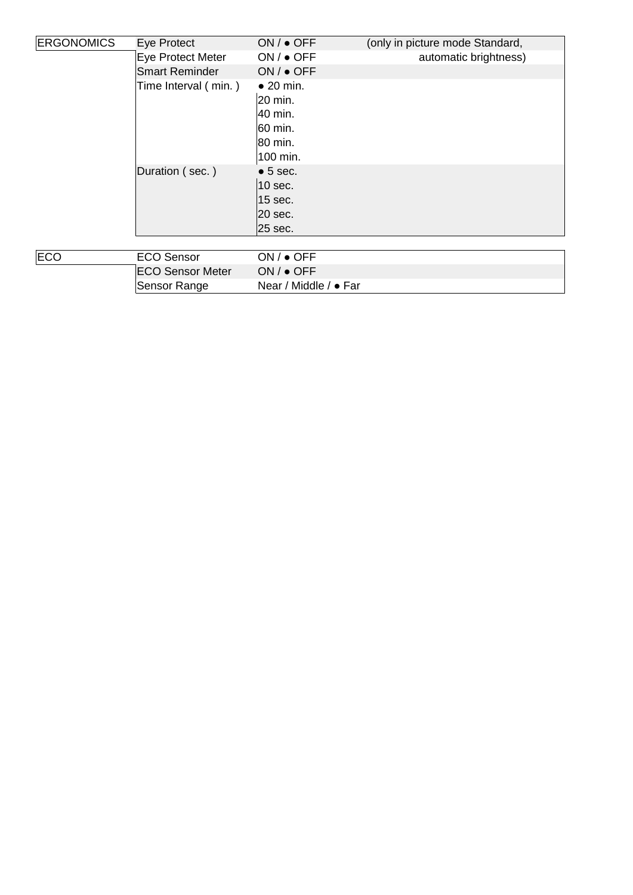| <b>ERGONOMICS</b> | Eye Protect           | $ON / •$ OFF                                                                  | (only in picture mode Standard, |
|-------------------|-----------------------|-------------------------------------------------------------------------------|---------------------------------|
|                   | Eye Protect Meter     | $ON / \bullet$ OFF                                                            | automatic brightness)           |
|                   | <b>Smart Reminder</b> | $ON / \bullet$ OFF                                                            |                                 |
|                   | Time Interval (min.)  | $\bullet$ 20 min.<br> 20 min.<br> 40 min.<br> 60 min.<br> 80 min.<br>100 min. |                                 |
|                   | Duration (sec.)       | $\bullet$ 5 sec.<br>$10$ sec.<br>$ 15 \text{ sec.} $<br>20 sec.<br>25 sec.    |                                 |
| ⊫∩                | $E \cap \cap$ Sansor  | $OM / \triangle OCE$                                                          |                                 |

| ECO | ECO Sensor              | $ON / \bullet$ OFF            |
|-----|-------------------------|-------------------------------|
|     | <b>ECO Sensor Meter</b> | $ON / \bullet$ OFF            |
|     | Sensor Range            | Near / Middle / $\bullet$ Far |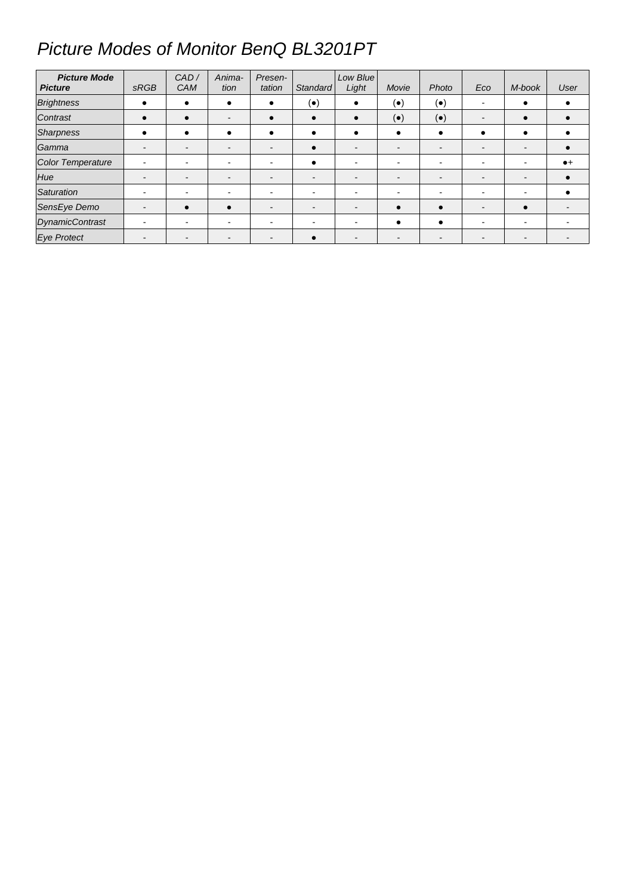# Picture Modes of Monitor BenQ BL3201PT

| <b>Picture Mode</b><br><b>Picture</b> | <b>SRGB</b>              | CAD/<br><b>CAM</b>       | Anima-<br>tion | Presen-<br>tation | Standard                 | Low Blue<br>Light        | Movie                    | Photo                    | Eco                      | M-book | User        |
|---------------------------------------|--------------------------|--------------------------|----------------|-------------------|--------------------------|--------------------------|--------------------------|--------------------------|--------------------------|--------|-------------|
| <b>Brightness</b>                     | $\bullet$                | $\bullet$                |                | $\bullet$         | $(\bullet)$              | $\bullet$                | $(\bullet)$              | $(\bullet)$              | $\overline{\phantom{a}}$ |        |             |
| Contrast                              | $\bullet$                | $\bullet$                |                |                   | $\bullet$                | $\bullet$                | $(\bullet)$              | $(\bullet)$              | $\overline{\phantom{a}}$ |        |             |
| Sharpness                             | $\bullet$                | $\bullet$                |                |                   | $\bullet$                | ٠                        | ٠                        | $\bullet$                |                          |        |             |
| Gamma                                 | $\overline{\phantom{a}}$ | $\overline{\phantom{a}}$ |                |                   | $\bullet$                | $\overline{\phantom{0}}$ | $\overline{\phantom{0}}$ | $\overline{\phantom{0}}$ | $\overline{\phantom{0}}$ |        |             |
| <b>Color Temperature</b>              | $\overline{\phantom{a}}$ | $\blacksquare$           |                |                   | $\bullet$                | $\overline{\phantom{0}}$ |                          | $\overline{\phantom{0}}$ | $\overline{\phantom{0}}$ |        | $\bullet$ + |
| Hue                                   | $\overline{\phantom{a}}$ | $\overline{\phantom{a}}$ |                |                   | $\overline{\phantom{a}}$ | $\overline{\phantom{0}}$ | -                        | $\overline{\phantom{a}}$ | $\overline{\phantom{0}}$ | -      |             |
| Saturation                            |                          | $\sim$                   |                |                   | $\overline{\phantom{0}}$ |                          |                          |                          |                          |        |             |
| SensEye Demo                          | $\overline{\phantom{a}}$ | $\bullet$                |                |                   | $\overline{\phantom{0}}$ | $\overline{\phantom{0}}$ | $\bullet$                | $\bullet$                | $\overline{\phantom{a}}$ |        |             |
| <b>DynamicContrast</b>                | $\overline{\phantom{a}}$ | $\blacksquare$           |                |                   |                          |                          |                          | $\bullet$                | $\overline{\phantom{0}}$ |        |             |
| <b>Eye Protect</b>                    |                          |                          |                |                   |                          | $\overline{\phantom{0}}$ |                          |                          |                          |        |             |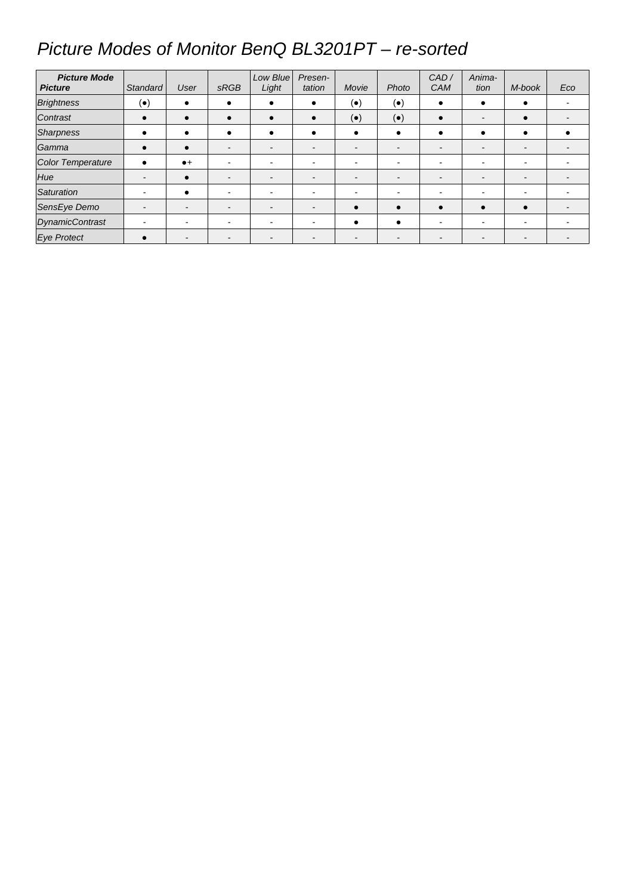## Picture Modes of Monitor BenQ BL3201PT – re-sorted

| <b>Picture Mode</b><br><b>Picture</b> | Standard                 | User           | <b>SRGB</b>              | Low Blue<br>Light | Presen-<br>tation        | Movie                    | Photo       | CAD/<br><b>CAM</b>       | Anima-<br>tion           | M-book | Eco |
|---------------------------------------|--------------------------|----------------|--------------------------|-------------------|--------------------------|--------------------------|-------------|--------------------------|--------------------------|--------|-----|
| <b>Brightness</b>                     | $(\bullet)$              | $\bullet$      |                          |                   | $\bullet$                | $(\bullet)$              | $(\bullet)$ | $\bullet$                |                          |        |     |
| Contrast                              | $\bullet$                | $\bullet$      |                          |                   | $\bullet$                | $(\bullet)$              | $(\bullet)$ | $\bullet$                |                          |        |     |
| Sharpness                             | $\bullet$                | ٠              |                          |                   | $\bullet$                | $\bullet$                | ٠           | $\bullet$                |                          |        |     |
| Gamma                                 | $\bullet$                | $\bullet$      |                          |                   | $\overline{\phantom{0}}$ | $\overline{\phantom{0}}$ | -           |                          | $\overline{\phantom{0}}$ |        |     |
| <b>Color Temperature</b>              | $\bullet$                | $\bullet$      |                          |                   | $\overline{\phantom{0}}$ | $\overline{\phantom{0}}$ |             | $\overline{\phantom{0}}$ | $\overline{\phantom{0}}$ |        |     |
| Hue                                   | $\,$ $\,$                | $\bullet$      |                          |                   | $\overline{\phantom{a}}$ | $\overline{\phantom{0}}$ | -           | $\overline{\phantom{a}}$ |                          |        |     |
| Saturation                            |                          | $\bullet$      |                          |                   | $\overline{\phantom{0}}$ |                          |             |                          |                          |        |     |
| SensEye Demo                          | $\overline{\phantom{a}}$ | ۰.             | $\overline{\phantom{0}}$ |                   | $\overline{\phantom{0}}$ | $\bullet$                | $\bullet$   | $\bullet$                | $\bullet$                |        |     |
| <b>DynamicContrast</b>                | $\overline{\phantom{0}}$ | $\blacksquare$ |                          |                   | ÷                        |                          | ٠           | $\overline{\phantom{0}}$ | $\sim$                   |        |     |
| <b>Eye Protect</b>                    | $\bullet$                | -              |                          |                   |                          |                          |             |                          |                          |        |     |